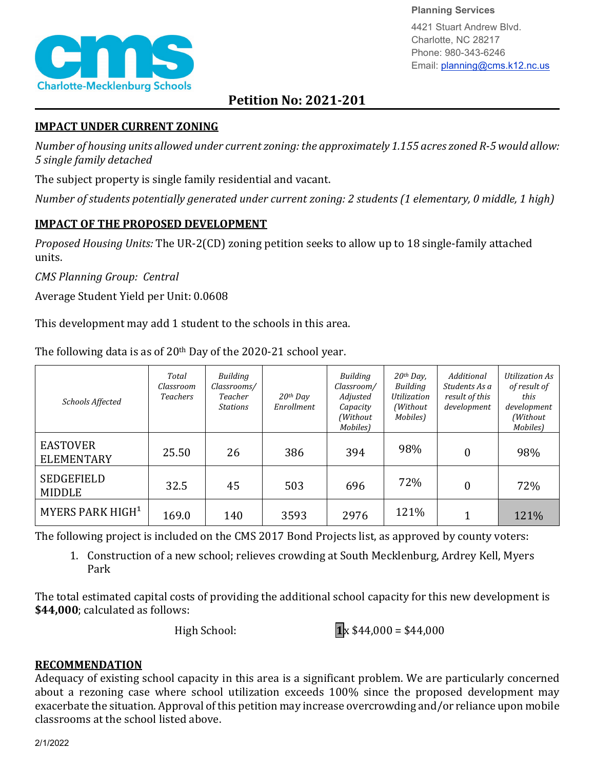

**Planning Services**

4421 Stuart Andrew Blvd. Charlotte, NC 28217 Phone: 980-343-6246 Email: planning@cms.k12.nc.us

# **Petition No: 2021-201**

### **IMPACT UNDER CURRENT ZONING**

*Number of housing units allowed under current zoning: the approximately 1.155 acres zoned R-5 would allow: 5 single family detached*

The subject property is single family residential and vacant.

*Number of students potentially generated under current zoning: 2 students (1 elementary, 0 middle, 1 high)*

## **IMPACT OF THE PROPOSED DEVELOPMENT**

*Proposed Housing Units:* The UR-2(CD) zoning petition seeks to allow up to 18 single-family attached units.

*CMS Planning Group: Central*

Average Student Yield per Unit: 0.0608

This development may add 1 student to the schools in this area.

*Schools Affected Total Classroom Teachers Building Classrooms/ Teacher Stations 20th Day Enrollment Building Classroom/ Adjusted Capacity (Without Mobiles) 20th Day, Building Utilization (Without Mobiles) Additional Students As a result of this development Utilization As of result of this development (Without Mobiles)*  EASTOVER<br>ELEMENTARY ELEMENTARY 25.50 26 386 394 98% 0 98% SEDGEFIELD<br>MIDDLE MIDDLE 32.5 45 503 696 72% 0 72% MYERS PARK HIGH | 169.0 | 140 | 3593 | 2976 | <sup>121%</sup> | 1 | 121%

The following data is as of  $20<sup>th</sup>$  Day of the 2020-21 school year.

The following project is included on the CMS 2017 Bond Projects list, as approved by county voters:

1. Construction of a new school; relieves crowding at South Mecklenburg, Ardrey Kell, Myers Park

The total estimated capital costs of providing the additional school capacity for this new development is **\$44,000**; calculated as follows:

High School: **1** $\mathbf{x}$  \$44,000 = \$44,000

## **RECOMMENDATION**

Adequacy of existing school capacity in this area is a significant problem. We are particularly concerned about a rezoning case where school utilization exceeds 100% since the proposed development may exacerbate the situation. Approval of this petition may increase overcrowding and/or reliance upon mobile classrooms at the school listed above.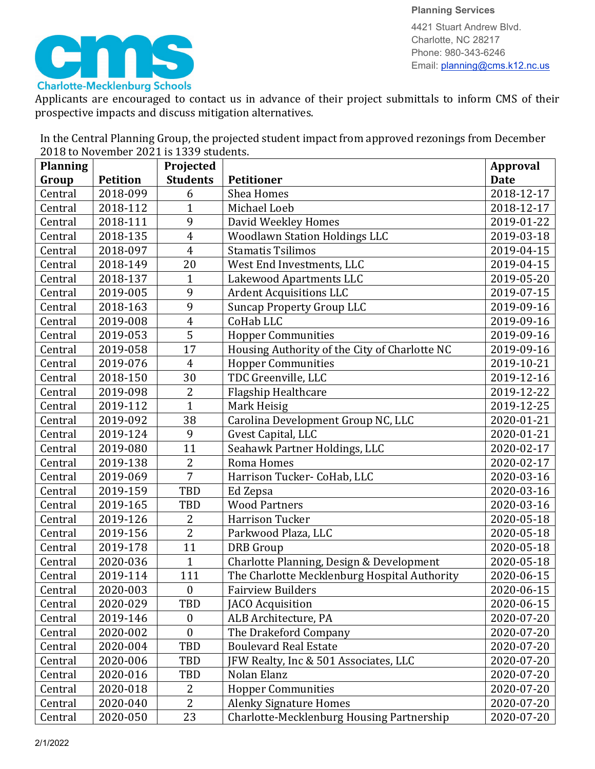

**Planning Services** 4421 Stuart Andrew Blvd. Charlotte, NC 28217 Phone: 980-343-6246 Email: planning@cms.k12.nc.us

Applicants are encouraged to contact us in advance of their project submittals to inform CMS of their prospective impacts and discuss mitigation alternatives.

In the Central Planning Group, the projected student impact from approved rezonings from December 2018 to November 2021 is 1339 students.

| <b>Planning</b> |                 | Projected        |                                               | <b>Approval</b> |
|-----------------|-----------------|------------------|-----------------------------------------------|-----------------|
| Group           | <b>Petition</b> | <b>Students</b>  | <b>Petitioner</b>                             | <b>Date</b>     |
| Central         | 2018-099        | 6                | Shea Homes                                    | 2018-12-17      |
| Central         | 2018-112        | $\mathbf{1}$     | Michael Loeb                                  | 2018-12-17      |
| Central         | 2018-111        | 9                | David Weekley Homes                           | 2019-01-22      |
| Central         | 2018-135        | $\overline{4}$   | <b>Woodlawn Station Holdings LLC</b>          | 2019-03-18      |
| Central         | 2018-097        | $\overline{4}$   | <b>Stamatis Tsilimos</b>                      | 2019-04-15      |
| Central         | 2018-149        | 20               | West End Investments, LLC                     | 2019-04-15      |
| Central         | 2018-137        | $\mathbf{1}$     | Lakewood Apartments LLC                       | 2019-05-20      |
| Central         | 2019-005        | 9                | <b>Ardent Acquisitions LLC</b>                | 2019-07-15      |
| Central         | 2018-163        | 9                | <b>Suncap Property Group LLC</b>              | 2019-09-16      |
| Central         | 2019-008        | $\overline{4}$   | CoHab LLC                                     | 2019-09-16      |
| Central         | 2019-053        | $\overline{5}$   | <b>Hopper Communities</b>                     | 2019-09-16      |
| Central         | 2019-058        | 17               | Housing Authority of the City of Charlotte NC | 2019-09-16      |
| Central         | 2019-076        | $\overline{4}$   | <b>Hopper Communities</b>                     | 2019-10-21      |
| Central         | 2018-150        | 30               | TDC Greenville, LLC                           | 2019-12-16      |
| Central         | 2019-098        | $\overline{2}$   | <b>Flagship Healthcare</b>                    | 2019-12-22      |
| Central         | 2019-112        | $\overline{1}$   | Mark Heisig                                   | 2019-12-25      |
| Central         | 2019-092        | 38               | Carolina Development Group NC, LLC            | 2020-01-21      |
| Central         | 2019-124        | 9                | Gvest Capital, LLC                            | 2020-01-21      |
| Central         | 2019-080        | 11               | Seahawk Partner Holdings, LLC                 | 2020-02-17      |
| Central         | 2019-138        | $\overline{2}$   | Roma Homes                                    | 2020-02-17      |
| Central         | 2019-069        | 7                | Harrison Tucker- CoHab, LLC                   | 2020-03-16      |
| Central         | 2019-159        | TBD              | Ed Zepsa                                      | 2020-03-16      |
| Central         | 2019-165        | <b>TBD</b>       | <b>Wood Partners</b>                          | 2020-03-16      |
| Central         | 2019-126        | $\overline{2}$   | Harrison Tucker                               | 2020-05-18      |
| Central         | 2019-156        | $\overline{2}$   | Parkwood Plaza, LLC                           | 2020-05-18      |
| Central         | 2019-178        | 11               | <b>DRB</b> Group                              | 2020-05-18      |
| Central         | 2020-036        | $\mathbf{1}$     | Charlotte Planning, Design & Development      | 2020-05-18      |
| Central         | 2019-114        | 111              | The Charlotte Mecklenburg Hospital Authority  | 2020-06-15      |
| Central         | 2020-003        | $\boldsymbol{0}$ | <b>Fairview Builders</b>                      | 2020-06-15      |
| Central         | 2020-029        | TBD              | JACO Acquisition                              | 2020-06-15      |
| Central         | 2019-146        | $\boldsymbol{0}$ | ALB Architecture, PA                          | 2020-07-20      |
| Central         | 2020-002        | $\boldsymbol{0}$ | The Drakeford Company                         | 2020-07-20      |
| Central         | 2020-004        | TBD              | <b>Boulevard Real Estate</b>                  | 2020-07-20      |
| Central         | 2020-006        | TBD              | JFW Realty, Inc & 501 Associates, LLC         | 2020-07-20      |
| Central         | 2020-016        | TBD              | Nolan Elanz                                   | 2020-07-20      |
| Central         | 2020-018        | 2                | <b>Hopper Communities</b>                     | 2020-07-20      |
| Central         | 2020-040        | $\overline{2}$   | <b>Alenky Signature Homes</b>                 | 2020-07-20      |
| Central         | 2020-050        | 23               | Charlotte-Mecklenburg Housing Partnership     | 2020-07-20      |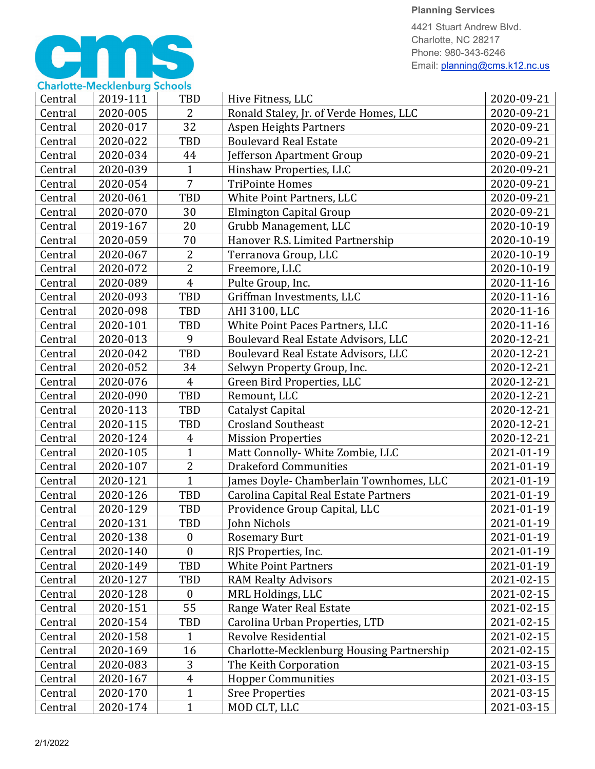#### **Planning Services**

4421 Stuart Andrew Blvd. Charlotte, NC 28217 Phone: 980-343-6246 Email: planning@cms.k12.nc.us



| Central | 2019-111 | <b>TBD</b>       | Hive Fitness, LLC                          | 2020-09-21 |
|---------|----------|------------------|--------------------------------------------|------------|
| Central | 2020-005 | $\overline{2}$   | Ronald Staley, Jr. of Verde Homes, LLC     | 2020-09-21 |
| Central | 2020-017 | 32               | <b>Aspen Heights Partners</b>              | 2020-09-21 |
| Central | 2020-022 | TBD              | <b>Boulevard Real Estate</b>               | 2020-09-21 |
| Central | 2020-034 | 44               | Jefferson Apartment Group                  | 2020-09-21 |
| Central | 2020-039 | $\mathbf{1}$     | Hinshaw Properties, LLC                    | 2020-09-21 |
| Central | 2020-054 | 7                | <b>TriPointe Homes</b>                     | 2020-09-21 |
| Central | 2020-061 | TBD              | White Point Partners, LLC                  | 2020-09-21 |
| Central | 2020-070 | 30               | Elmington Capital Group                    | 2020-09-21 |
| Central | 2019-167 | 20               | Grubb Management, LLC                      | 2020-10-19 |
| Central | 2020-059 | 70               | Hanover R.S. Limited Partnership           | 2020-10-19 |
| Central | 2020-067 | $\overline{2}$   | Terranova Group, LLC                       | 2020-10-19 |
| Central | 2020-072 | $\overline{2}$   | Freemore, LLC                              | 2020-10-19 |
| Central | 2020-089 | $\overline{4}$   | Pulte Group, Inc.                          | 2020-11-16 |
| Central | 2020-093 | TBD              | Griffman Investments, LLC                  | 2020-11-16 |
| Central | 2020-098 | <b>TBD</b>       | AHI 3100, LLC                              | 2020-11-16 |
| Central | 2020-101 | TBD              | White Point Paces Partners, LLC            | 2020-11-16 |
| Central | 2020-013 | 9                | Boulevard Real Estate Advisors, LLC        | 2020-12-21 |
| Central | 2020-042 | TBD              | <b>Boulevard Real Estate Advisors, LLC</b> | 2020-12-21 |
| Central | 2020-052 | 34               | Selwyn Property Group, Inc.                | 2020-12-21 |
| Central | 2020-076 | $\overline{4}$   | Green Bird Properties, LLC                 | 2020-12-21 |
| Central | 2020-090 | TBD              | Remount, LLC                               | 2020-12-21 |
| Central | 2020-113 | <b>TBD</b>       | <b>Catalyst Capital</b>                    | 2020-12-21 |
| Central | 2020-115 | <b>TBD</b>       | <b>Crosland Southeast</b>                  | 2020-12-21 |
| Central | 2020-124 | 4                | <b>Mission Properties</b>                  | 2020-12-21 |
| Central | 2020-105 | $\mathbf{1}$     | Matt Connolly- White Zombie, LLC           | 2021-01-19 |
| Central | 2020-107 | $\overline{2}$   | <b>Drakeford Communities</b>               | 2021-01-19 |
| Central | 2020-121 | $\overline{1}$   | James Doyle- Chamberlain Townhomes, LLC    | 2021-01-19 |
| Central | 2020-126 | TBD              | Carolina Capital Real Estate Partners      | 2021-01-19 |
| Central | 2020-129 | TBD              | Providence Group Capital, LLC              | 2021-01-19 |
| Central | 2020-131 | TBD              | John Nichols                               | 2021-01-19 |
| Central | 2020-138 | $\boldsymbol{0}$ | <b>Rosemary Burt</b>                       | 2021-01-19 |
| Central | 2020-140 | $\theta$         | RJS Properties, Inc.                       | 2021-01-19 |
| Central | 2020-149 | TBD              | <b>White Point Partners</b>                | 2021-01-19 |
| Central | 2020-127 | <b>TBD</b>       | <b>RAM Realty Advisors</b>                 | 2021-02-15 |
| Central | 2020-128 | $\boldsymbol{0}$ | MRL Holdings, LLC                          | 2021-02-15 |
| Central | 2020-151 | 55               | Range Water Real Estate                    | 2021-02-15 |
| Central | 2020-154 | TBD              | Carolina Urban Properties, LTD             | 2021-02-15 |
| Central | 2020-158 | 1                | <b>Revolve Residential</b>                 | 2021-02-15 |
| Central | 2020-169 | 16               | Charlotte-Mecklenburg Housing Partnership  | 2021-02-15 |
| Central | 2020-083 | $\mathbf{3}$     | The Keith Corporation                      | 2021-03-15 |
| Central | 2020-167 | $\overline{4}$   | <b>Hopper Communities</b>                  | 2021-03-15 |
| Central | 2020-170 | $\mathbf{1}$     | <b>Sree Properties</b>                     | 2021-03-15 |
| Central | 2020-174 | $\mathbf{1}$     | MOD CLT, LLC                               | 2021-03-15 |